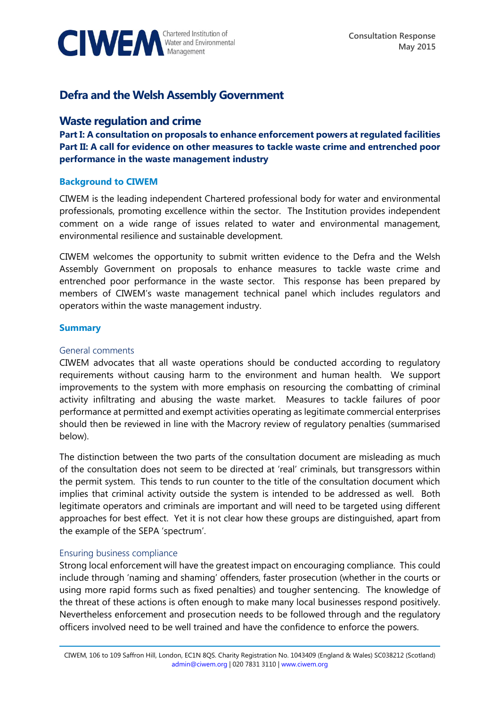

# **Defra and the Welsh Assembly Government**

# **Waste regulation and crime**

**Part I: A consultation on proposals to enhance enforcement powers at regulated facilities Part II: A call for evidence on other measures to tackle waste crime and entrenched poor performance in the waste management industry** 

#### **Background to CIWEM**

CIWEM is the leading independent Chartered professional body for water and environmental professionals, promoting excellence within the sector. The Institution provides independent comment on a wide range of issues related to water and environmental management, environmental resilience and sustainable development.

CIWEM welcomes the opportunity to submit written evidence to the Defra and the Welsh Assembly Government on proposals to enhance measures to tackle waste crime and entrenched poor performance in the waste sector. This response has been prepared by members of CIWEM's waste management technical panel which includes regulators and operators within the waste management industry.

#### **Summary**

#### General comments

CIWEM advocates that all waste operations should be conducted according to regulatory requirements without causing harm to the environment and human health. We support improvements to the system with more emphasis on resourcing the combatting of criminal activity infiltrating and abusing the waste market. Measures to tackle failures of poor performance at permitted and exempt activities operating as legitimate commercial enterprises should then be reviewed in line with the Macrory review of regulatory penalties (summarised below).

The distinction between the two parts of the consultation document are misleading as much of the consultation does not seem to be directed at 'real' criminals, but transgressors within the permit system. This tends to run counter to the title of the consultation document which implies that criminal activity outside the system is intended to be addressed as well. Both legitimate operators and criminals are important and will need to be targeted using different approaches for best effect. Yet it is not clear how these groups are distinguished, apart from the example of the SEPA 'spectrum'.

#### Ensuring business compliance

Strong local enforcement will have the greatest impact on encouraging compliance. This could include through 'naming and shaming' offenders, faster prosecution (whether in the courts or using more rapid forms such as fixed penalties) and tougher sentencing. The knowledge of the threat of these actions is often enough to make many local businesses respond positively. Nevertheless enforcement and prosecution needs to be followed through and the regulatory officers involved need to be well trained and have the confidence to enforce the powers.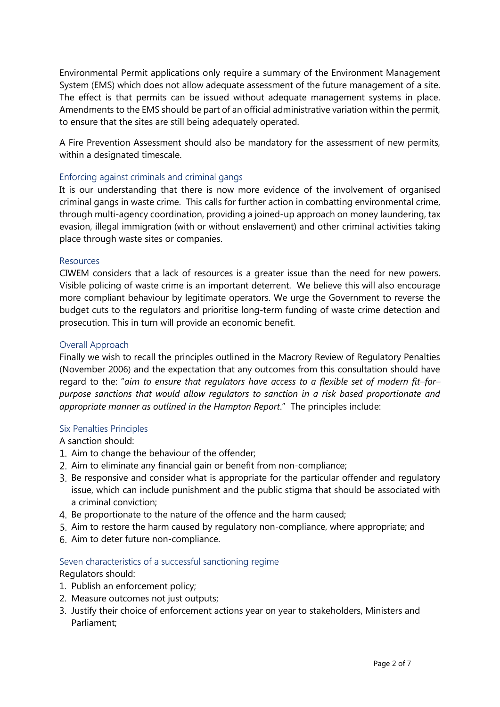Environmental Permit applications only require a summary of the Environment Management System (EMS) which does not allow adequate assessment of the future management of a site. The effect is that permits can be issued without adequate management systems in place. Amendments to the EMS should be part of an official administrative variation within the permit, to ensure that the sites are still being adequately operated.

A Fire Prevention Assessment should also be mandatory for the assessment of new permits, within a designated timescale.

#### Enforcing against criminals and criminal gangs

It is our understanding that there is now more evidence of the involvement of organised criminal gangs in waste crime. This calls for further action in combatting environmental crime, through multi-agency coordination, providing a joined-up approach on money laundering, tax evasion, illegal immigration (with or without enslavement) and other criminal activities taking place through waste sites or companies.

#### Resources

CIWEM considers that a lack of resources is a greater issue than the need for new powers. Visible policing of waste crime is an important deterrent. We believe this will also encourage more compliant behaviour by legitimate operators. We urge the Government to reverse the budget cuts to the regulators and prioritise long-term funding of waste crime detection and prosecution. This in turn will provide an economic benefit.

#### Overall Approach

Finally we wish to recall the principles outlined in the Macrory Review of Regulatory Penalties (November 2006) and the expectation that any outcomes from this consultation should have regard to the: "*aim to ensure that regulators have access to a flexible set of modern fit–for– purpose sanctions that would allow regulators to sanction in a risk based proportionate and appropriate manner as outlined in the Hampton Report*." The principles include:

#### Six Penalties Principles

A sanction should:

- 1. Aim to change the behaviour of the offender;
- 2. Aim to eliminate any financial gain or benefit from non-compliance;
- Be responsive and consider what is appropriate for the particular offender and regulatory issue, which can include punishment and the public stigma that should be associated with a criminal conviction;
- 4. Be proportionate to the nature of the offence and the harm caused;
- 5. Aim to restore the harm caused by regulatory non-compliance, where appropriate; and
- 6. Aim to deter future non-compliance.

#### Seven characteristics of a successful sanctioning regime

Regulators should:

- 1. Publish an enforcement policy;
- 2. Measure outcomes not just outputs;
- 3. Justify their choice of enforcement actions year on year to stakeholders, Ministers and Parliament;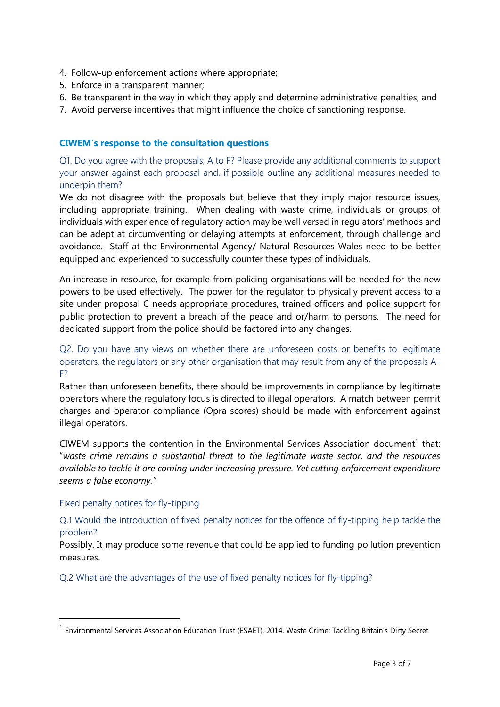- 4. Follow-up enforcement actions where appropriate;
- 5. Enforce in a transparent manner;
- 6. Be transparent in the way in which they apply and determine administrative penalties; and
- 7. Avoid perverse incentives that might influence the choice of sanctioning response.

#### **CIWEM's response to the consultation questions**

Q1. Do you agree with the proposals, A to F? Please provide any additional comments to support your answer against each proposal and, if possible outline any additional measures needed to underpin them?

We do not disagree with the proposals but believe that they imply major resource issues, including appropriate training. When dealing with waste crime, individuals or groups of individuals with experience of regulatory action may be well versed in regulators' methods and can be adept at circumventing or delaying attempts at enforcement, through challenge and avoidance. Staff at the Environmental Agency/ Natural Resources Wales need to be better equipped and experienced to successfully counter these types of individuals.

An increase in resource, for example from policing organisations will be needed for the new powers to be used effectively. The power for the regulator to physically prevent access to a site under proposal C needs appropriate procedures, trained officers and police support for public protection to prevent a breach of the peace and or/harm to persons. The need for dedicated support from the police should be factored into any changes.

# Q2. Do you have any views on whether there are unforeseen costs or benefits to legitimate operators, the regulators or any other organisation that may result from any of the proposals A-F?

Rather than unforeseen benefits, there should be improvements in compliance by legitimate operators where the regulatory focus is directed to illegal operators. A match between permit charges and operator compliance (Opra scores) should be made with enforcement against illegal operators.

CIWEM supports the contention in the Environmental Services Association document<sup>1</sup> that: "*waste crime remains a substantial threat to the legitimate waste sector, and the resources available to tackle it are coming under increasing pressure. Yet cutting enforcement expenditure seems a false economy."*

#### Fixed penalty notices for fly-tipping

-

Q.1 Would the introduction of fixed penalty notices for the offence of fly-tipping help tackle the problem?

Possibly. It may produce some revenue that could be applied to funding pollution prevention measures.

Q.2 What are the advantages of the use of fixed penalty notices for fly-tipping?

<sup>&</sup>lt;sup>1</sup> Environmental Services Association Education Trust (ESAET). 2014. Waste Crime: Tackling Britain's Dirty Secret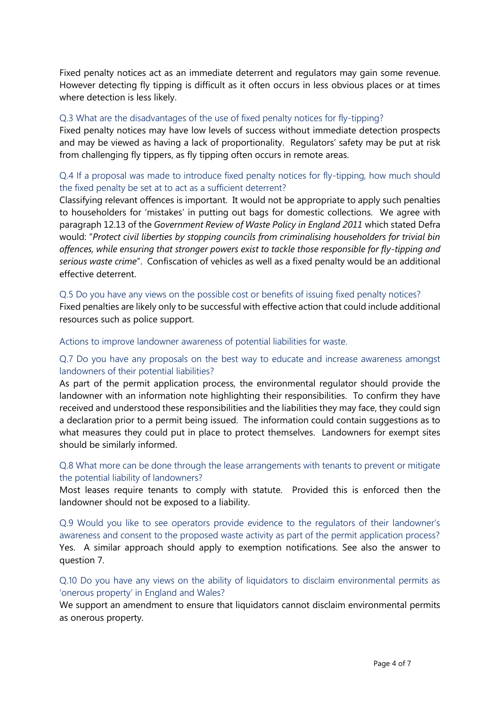Fixed penalty notices act as an immediate deterrent and regulators may gain some revenue. However detecting fly tipping is difficult as it often occurs in less obvious places or at times where detection is less likely.

#### Q.3 What are the disadvantages of the use of fixed penalty notices for fly-tipping?

Fixed penalty notices may have low levels of success without immediate detection prospects and may be viewed as having a lack of proportionality. Regulators' safety may be put at risk from challenging fly tippers, as fly tipping often occurs in remote areas.

# Q.4 If a proposal was made to introduce fixed penalty notices for fly-tipping, how much should the fixed penalty be set at to act as a sufficient deterrent?

Classifying relevant offences is important. It would not be appropriate to apply such penalties to householders for 'mistakes' in putting out bags for domestic collections. We agree with paragraph 12.13 of the *Government Review of Waste Policy in England 2011* which stated Defra would: "*Protect civil liberties by stopping councils from criminalising householders for trivial bin offences, while ensuring that stronger powers exist to tackle those responsible for fly-tipping and serious waste crime*". Confiscation of vehicles as well as a fixed penalty would be an additional effective deterrent.

#### Q.5 Do you have any views on the possible cost or benefits of issuing fixed penalty notices?

Fixed penalties are likely only to be successful with effective action that could include additional resources such as police support.

Actions to improve landowner awareness of potential liabilities for waste.

# Q.7 Do you have any proposals on the best way to educate and increase awareness amongst landowners of their potential liabilities?

As part of the permit application process, the environmental regulator should provide the landowner with an information note highlighting their responsibilities. To confirm they have received and understood these responsibilities and the liabilities they may face, they could sign a declaration prior to a permit being issued. The information could contain suggestions as to what measures they could put in place to protect themselves. Landowners for exempt sites should be similarly informed.

# Q.8 What more can be done through the lease arrangements with tenants to prevent or mitigate the potential liability of landowners?

Most leases require tenants to comply with statute. Provided this is enforced then the landowner should not be exposed to a liability.

Q.9 Would you like to see operators provide evidence to the regulators of their landowner's awareness and consent to the proposed waste activity as part of the permit application process? Yes. A similar approach should apply to exemption notifications. See also the answer to question 7.

# Q.10 Do you have any views on the ability of liquidators to disclaim environmental permits as 'onerous property' in England and Wales?

We support an amendment to ensure that liquidators cannot disclaim environmental permits as onerous property.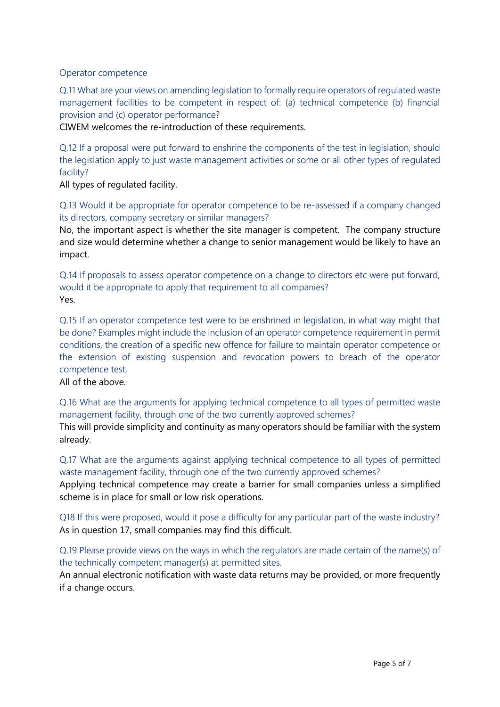# Operator competence

Q.11 What are your views on amending legislation to formally require operators of regulated waste management facilities to be competent in respect of: (a) technical competence (b) financial provision and (c) operator performance?

CIWEM welcomes the re-introduction of these requirements.

Q.12 If a proposal were put forward to enshrine the components of the test in legislation, should the legislation apply to just waste management activities or some or all other types of regulated facility?

All types of regulated facility.

Q.13 Would it be appropriate for operator competence to be re-assessed if a company changed its directors, company secretary or similar managers?

No, the important aspect is whether the site manager is competent. The company structure and size would determine whether a change to senior management would be likely to have an impact.

Q.14 If proposals to assess operator competence on a change to directors etc were put forward, would it be appropriate to apply that requirement to all companies? Yes.

Q.15 If an operator competence test were to be enshrined in legislation, in what way might that be done? Examples might include the inclusion of an operator competence requirement in permit conditions, the creation of a specific new offence for failure to maintain operator competence or the extension of existing suspension and revocation powers to breach of the operator competence test.

All of the above.

Q.16 What are the arguments for applying technical competence to all types of permitted waste management facility, through one of the two currently approved schemes?

This will provide simplicity and continuity as many operators should be familiar with the system already.

Q.17 What are the arguments against applying technical competence to all types of permitted waste management facility, through one of the two currently approved schemes?

Applying technical competence may create a barrier for small companies unless a simplified scheme is in place for small or low risk operations.

Q18 If this were proposed, would it pose a difficulty for any particular part of the waste industry? As in question 17, small companies may find this difficult.

Q.19 Please provide views on the ways in which the regulators are made certain of the name(s) of the technically competent manager(s) at permitted sites.

An annual electronic notification with waste data returns may be provided, or more frequently if a change occurs.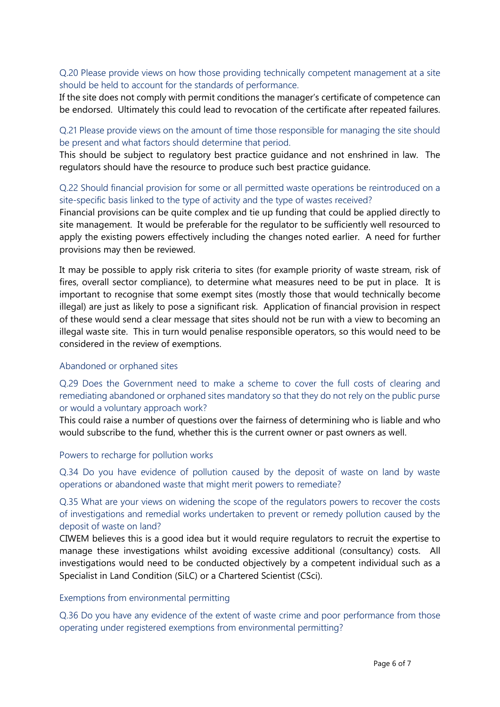# Q.20 Please provide views on how those providing technically competent management at a site should be held to account for the standards of performance.

If the site does not comply with permit conditions the manager's certificate of competence can be endorsed. Ultimately this could lead to revocation of the certificate after repeated failures.

# Q.21 Please provide views on the amount of time those responsible for managing the site should be present and what factors should determine that period.

This should be subject to regulatory best practice guidance and not enshrined in law. The regulators should have the resource to produce such best practice guidance.

# Q.22 Should financial provision for some or all permitted waste operations be reintroduced on a site-specific basis linked to the type of activity and the type of wastes received?

Financial provisions can be quite complex and tie up funding that could be applied directly to site management. It would be preferable for the regulator to be sufficiently well resourced to apply the existing powers effectively including the changes noted earlier. A need for further provisions may then be reviewed.

It may be possible to apply risk criteria to sites (for example priority of waste stream, risk of fires, overall sector compliance), to determine what measures need to be put in place. It is important to recognise that some exempt sites (mostly those that would technically become illegal) are just as likely to pose a significant risk. Application of financial provision in respect of these would send a clear message that sites should not be run with a view to becoming an illegal waste site. This in turn would penalise responsible operators, so this would need to be considered in the review of exemptions.

#### Abandoned or orphaned sites

Q.29 Does the Government need to make a scheme to cover the full costs of clearing and remediating abandoned or orphaned sites mandatory so that they do not rely on the public purse or would a voluntary approach work?

This could raise a number of questions over the fairness of determining who is liable and who would subscribe to the fund, whether this is the current owner or past owners as well.

#### Powers to recharge for pollution works

Q.34 Do you have evidence of pollution caused by the deposit of waste on land by waste operations or abandoned waste that might merit powers to remediate?

Q.35 What are your views on widening the scope of the regulators powers to recover the costs of investigations and remedial works undertaken to prevent or remedy pollution caused by the deposit of waste on land?

CIWEM believes this is a good idea but it would require regulators to recruit the expertise to manage these investigations whilst avoiding excessive additional (consultancy) costs. All investigations would need to be conducted objectively by a competent individual such as a Specialist in Land Condition (SiLC) or a Chartered Scientist (CSci).

#### Exemptions from environmental permitting

Q.36 Do you have any evidence of the extent of waste crime and poor performance from those operating under registered exemptions from environmental permitting?